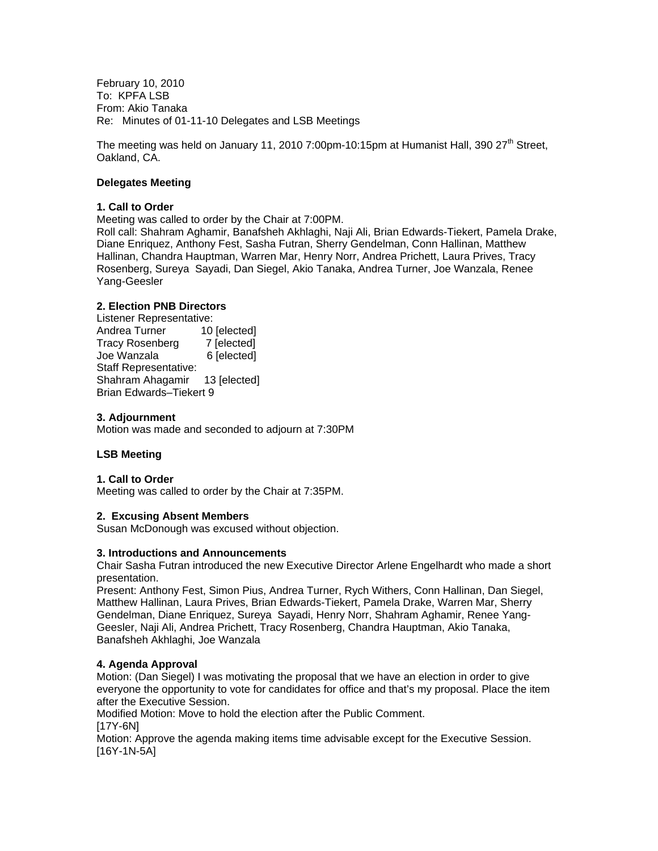February 10, 2010 To: KPFA LSB From: Akio Tanaka Re: Minutes of 01-11-10 Delegates and LSB Meetings

The meeting was held on January 11, 2010 7:00pm-10:15pm at Humanist Hall, 390 27<sup>th</sup> Street, Oakland, CA.

#### **Delegates Meeting**

#### **1. Call to Order**

Meeting was called to order by the Chair at 7:00PM.

Roll call: Shahram Aghamir, Banafsheh Akhlaghi, Naji Ali, Brian Edwards-Tiekert, Pamela Drake, Diane Enriquez, Anthony Fest, Sasha Futran, Sherry Gendelman, Conn Hallinan, Matthew Hallinan, Chandra Hauptman, Warren Mar, Henry Norr, Andrea Prichett, Laura Prives, Tracy Rosenberg, Sureya Sayadi, Dan Siegel, Akio Tanaka, Andrea Turner, Joe Wanzala, Renee Yang-Geesler

### **2. Election PNB Directors**

Listener Representative: Andrea Turner 10 [elected] Tracy Rosenberg 7 [elected] Joe Wanzala 6 [elected] Staff Representative: Shahram Ahagamir 13 [elected] Brian Edwards–Tiekert 9

### **3. Adjournment**

Motion was made and seconded to adjourn at 7:30PM

# **LSB Meeting**

#### **1. Call to Order**

Meeting was called to order by the Chair at 7:35PM.

#### **2. Excusing Absent Members**

Susan McDonough was excused without objection.

#### **3. Introductions and Announcements**

Chair Sasha Futran introduced the new Executive Director Arlene Engelhardt who made a short presentation.

Present: Anthony Fest, Simon Pius, Andrea Turner, Rych Withers, Conn Hallinan, Dan Siegel, Matthew Hallinan, Laura Prives, Brian Edwards-Tiekert, Pamela Drake, Warren Mar, Sherry Gendelman, Diane Enriquez, Sureya Sayadi, Henry Norr, Shahram Aghamir, Renee Yang-Geesler, Naji Ali, Andrea Prichett, Tracy Rosenberg, Chandra Hauptman, Akio Tanaka, Banafsheh Akhlaghi, Joe Wanzala

#### **4. Agenda Approval**

Motion: (Dan Siegel) I was motivating the proposal that we have an election in order to give everyone the opportunity to vote for candidates for office and that's my proposal. Place the item after the Executive Session.

Modified Motion: Move to hold the election after the Public Comment. [17Y-6N]

Motion: Approve the agenda making items time advisable except for the Executive Session.  $[16Y-1N-5A]$